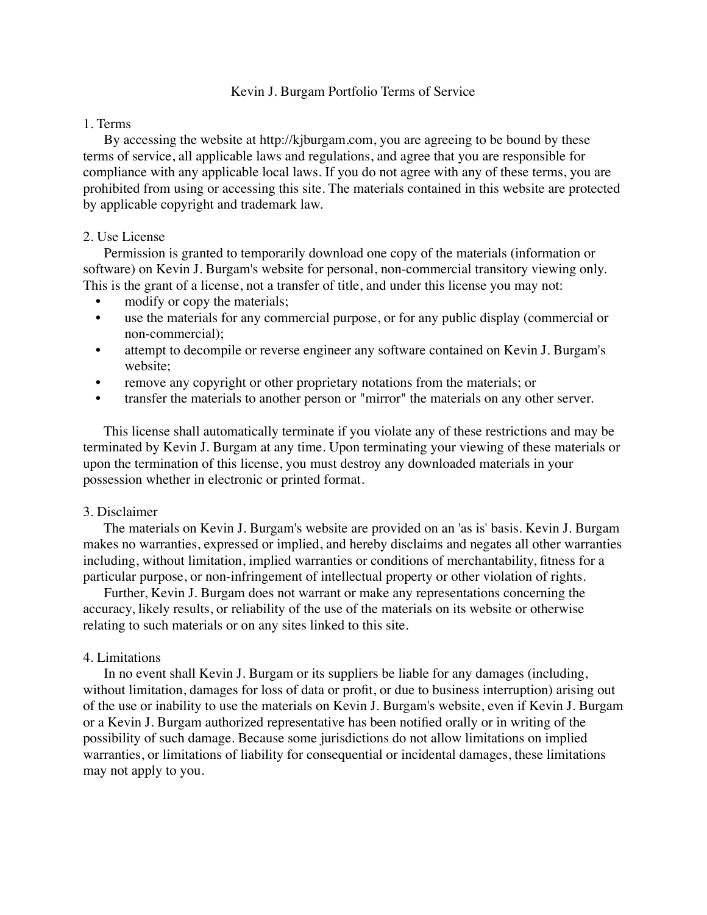## Kevin J. Burgam Portfolio Terms of Service

### 1. Terms

 By accessing the website at http://kjburgam.com, you are agreeing to be bound by these terms of service, all applicable laws and regulations, and agree that you are responsible for compliance with any applicable local laws. If you do not agree with any of these terms, you are prohibited from using or accessing this site. The materials contained in this website are protected by applicable copyright and trademark law.

## 2. Use License

 Permission is granted to temporarily download one copy of the materials (information or software) on Kevin J. Burgam's website for personal, non-commercial transitory viewing only. This is the grant of a license, not a transfer of title, and under this license you may not:

- modify or copy the materials;
- use the materials for any commercial purpose, or for any public display (commercial or non-commercial);
- attempt to decompile or reverse engineer any software contained on Kevin J. Burgam's website;
- remove any copyright or other proprietary notations from the materials; or
- transfer the materials to another person or "mirror" the materials on any other server.

 This license shall automatically terminate if you violate any of these restrictions and may be terminated by Kevin J. Burgam at any time. Upon terminating your viewing of these materials or upon the termination of this license, you must destroy any downloaded materials in your possession whether in electronic or printed format.

### 3. Disclaimer

 The materials on Kevin J. Burgam's website are provided on an 'as is' basis. Kevin J. Burgam makes no warranties, expressed or implied, and hereby disclaims and negates all other warranties including, without limitation, implied warranties or conditions of merchantability, fitness for a particular purpose, or non-infringement of intellectual property or other violation of rights.

 Further, Kevin J. Burgam does not warrant or make any representations concerning the accuracy, likely results, or reliability of the use of the materials on its website or otherwise relating to such materials or on any sites linked to this site.

# 4. Limitations

 In no event shall Kevin J. Burgam or its suppliers be liable for any damages (including, without limitation, damages for loss of data or profit, or due to business interruption) arising out of the use or inability to use the materials on Kevin J. Burgam's website, even if Kevin J. Burgam or a Kevin J. Burgam authorized representative has been notified orally or in writing of the possibility of such damage. Because some jurisdictions do not allow limitations on implied warranties, or limitations of liability for consequential or incidental damages, these limitations may not apply to you.